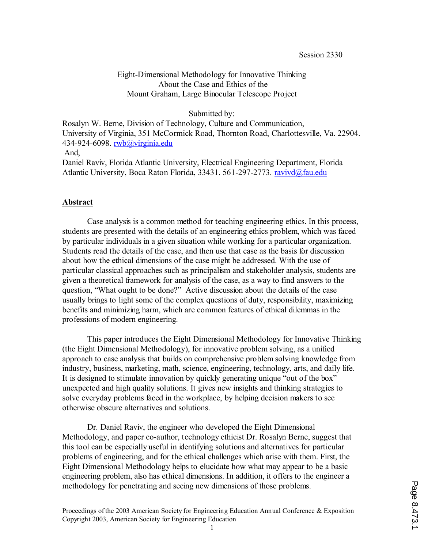# Eight-Dimensional Methodology for Innovative Thinking About the Case and Ethics of the Mount Graham, Large Binocular Telescope Project

### Submitted by:

Rosalyn W. Berne, Division of Technology, Culture and Communication, University of Virginia, 351 McCormick Road, Thornton Road, Charlottesville, Va. 22904. 434-924-6098. rwb@virginia.edu And,

Daniel Raviv, Florida Atlantic University, Electrical Engineering Department, Florida Atlantic University, Boca Raton Florida, 33431. 561-297-2773. ravivd@fau.edu

### **Abstract**

Case analysis is a common method for teaching engineering ethics. In this process, students are presented with the details of an engineering ethics problem, which was faced by particular individuals in a given situation while working for a particular organization. Students read the details of the case, and then use that case as the basis for discussion about how the ethical dimensions of the case might be addressed. With the use of particular classical approaches such as principalism and stakeholder analysis, students are given a theoretical framework for analysis of the case, as a way to find answers to the question, "What ought to be done?" Active discussion about the details of the case usually brings to light some of the complex questions of duty, responsibility, maximizing benefits and minimizing harm, which are common features of ethical dilemmas in the professions of modern engineering.

This paper introduces the Eight Dimensional Methodology for Innovative Thinking (the Eight Dimensional Methodology), for innovative problem solving, as a unified approach to case analysis that builds on comprehensive problem solving knowledge from industry, business, marketing, math, science, engineering, technology, arts, and daily life. It is designed to stimulate innovation by quickly generating unique "out of the box" unexpected and high quality solutions. It gives new insights and thinking strategies to solve everyday problems faced in the workplace, by helping decision makers to see otherwise obscure alternatives and solutions.

Dr. Daniel Raviv, the engineer who developed the Eight Dimensional Methodology, and paper co-author, technology ethicist Dr. Rosalyn Berne, suggest that this tool can be especially useful in identifying solutions and alternatives for particular problems of engineering, and for the ethical challenges which arise with them. First, the Eight Dimensional Methodology helps to elucidate how what may appear to be a basic engineering problem, also has ethical dimensions. In addition, it offers to the engineer a methodology for penetrating and seeing new dimensions of those problems.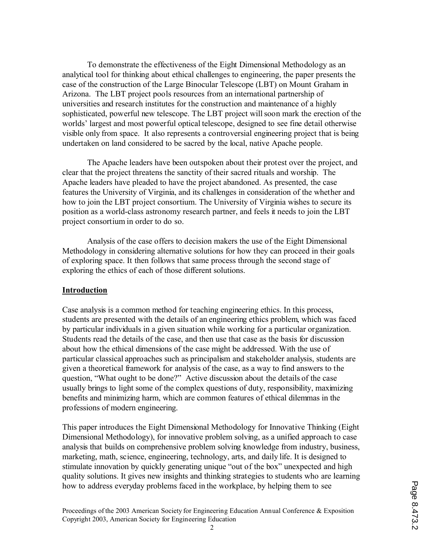To demonstrate the effectiveness of the Eight Dimensional Methodology as an analytical tool for thinking about ethical challenges to engineering, the paper presents the case of the construction of the Large Binocular Telescope (LBT) on Mount Graham in Arizona. The LBT project pools resources from an international partnership of universities and research institutes for the construction and maintenance of a highly sophisticated, powerful new telescope. The LBT project will soon mark the erection of the worlds' largest and most powerful optical telescope, designed to see fine detail otherwise visible only from space. It also represents a controversial engineering project that is being undertaken on land considered to be sacred by the local, native Apache people.

The Apache leaders have been outspoken about their protest over the project, and clear that the project threatens the sanctity of their sacred rituals and worship. The Apache leaders have pleaded to have the project abandoned. As presented, the case features the University of Virginia, and its challenges in consideration of the whether and how to join the LBT project consortium. The University of Virginia wishes to secure its position as a world-class astronomy research partner, and feels it needs to join the LBT project consortium in order to do so.

Analysis of the case offers to decision makers the use of the Eight Dimensional Methodology in considering alternative solutions for how they can proceed in their goals of exploring space. It then follows that same process through the second stage of exploring the ethics of each of those different solutions.

## **Introduction**

Case analysis is a common method for teaching engineering ethics. In this process, students are presented with the details of an engineering ethics problem, which was faced by particular individuals in a given situation while working for a particular organization. Students read the details of the case, and then use that case as the basis for discussion about how the ethical dimensions of the case might be addressed. With the use of particular classical approaches such as principalism and stakeholder analysis, students are given a theoretical framework for analysis of the case, as a way to find answers to the question, "What ought to be done?" Active discussion about the details of the case usually brings to light some of the complex questions of duty, responsibility, maximizing benefits and minimizing harm, which are common features of ethical dilemmas in the professions of modern engineering.

This paper introduces the Eight Dimensional Methodology for Innovative Thinking (Eight Dimensional Methodology), for innovative problem solving, as a unified approach to case analysis that builds on comprehensive problem solving knowledge from industry, business, marketing, math, science, engineering, technology, arts, and daily life. It is designed to stimulate innovation by quickly generating unique "out of the box" unexpected and high quality solutions. It gives new insights and thinking strategies to students who are learning how to address everyday problems faced in the workplace, by helping them to see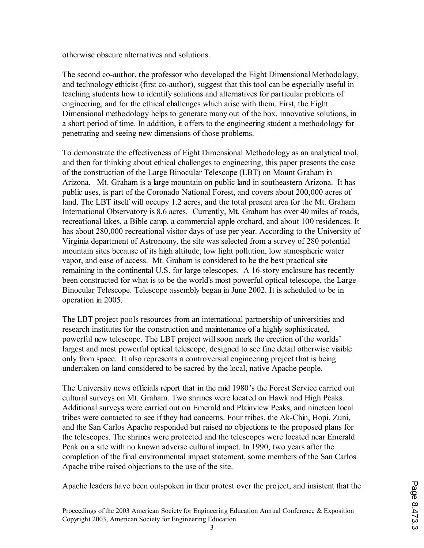otherwise obscure alternatives and solutions.

The second co-author, the professor who developed the Eight Dimensional Methodology, and technology ethicist (first co-author), suggest that this tool can be especially useful in teaching students how to identify solutions and alternatives for particular problems of engineering, and for the ethical challenges which arise with them. First, the Eight Dimensional methodology helps to generate many out of the box, innovative solutions, in a short period of time. In addition, it offers to the engineering student a methodology for penetrating and seeing new dimensions of those problems.

To demonstrate the effectiveness of Eight Dimensional Methodology as an analytical tool, and then for thinking about ethical challenges to engineering, this paper presents the case of the construction of the Large Binocular Telescope (LBT) on Mount Graham in Arizona. Mt. Graham is a large mountain on public land in southeastern Arizona. It has public uses, is part of the Coronado National Forest, and covers about 200,000 acres of land. The LBT itself will occupy 1.2 acres, and the total present area for the Mt. Graham International Observatory is 8.6 acres. Currently, Mt. Graham has over 40 miles of roads, recreational lakes, a Bible camp, a commercial apple orchard, and about 100 residences. It has about 280,000 recreational visitor days of use per year. According to the University of Virginia department of Astronomy, the site was selected from a survey of 280 potential mountain sites because of its high altitude, low light pollution, low atmospheric water vapor, and ease of access. Mt. Graham is considered to be the best practical site remaining in the continental U.S. for large telescopes. A 16-story enclosure has recently been constructed for what is to be the world's most powerful optical telescope, the Large Binocular Telescope. Telescope assembly began in June 2002. It is scheduled to be in operation in 2005.

The LBT project pools resources from an international partnership of universities and research institutes for the construction and maintenance of a highly sophisticated, powerful new telescope. The LBT project will soon mark the erection of the worlds' largest and most powerful optical telescope, designed to see fine detail otherwise visible only from space. It also represents a controversial engineering project that is being undertaken on land considered to be sacred by the local, native Apache people.

The University news officials report that in the mid 1980's the Forest Service carried out cultural surveys on Mt. Graham. Two shrines were located on Hawk and High Peaks. Additional surveys were carried out on Emerald and Plainview Peaks, and nineteen local tribes were contacted to see if they had concerns. Four tribes, the Ak-Chin, Hopi, Zuni, and the San Carlos Apache responded but raised no objections to the proposed plans for the telescopes. The shrines were protected and the telescopes were located near Emerald Peak on a site with no known adverse cultural impact. In 1990, two years after the completion of the final environmental impact statement, some members of the San Carlos Apache tribe raised objections to the use of the site.

Apache leaders have been outspoken in their protest over the project, and insistent that the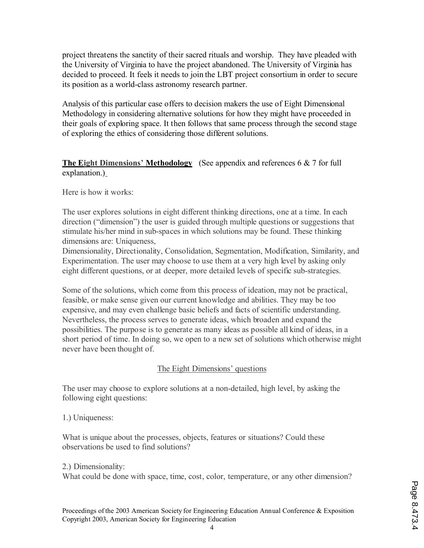project threatens the sanctity of their sacred rituals and worship. They have pleaded with the University of Virginia to have the project abandoned. The University of Virginia has decided to proceed. It feels it needs to join the LBT project consortium in order to secure its position as a world-class astronomy research partner.

Analysis of this particular case offers to decision makers the use of Eight Dimensional Methodology in considering alternative solutions for how they might have proceeded in their goals of exploring space. It then follows that same process through the second stage of exploring the ethics of considering those different solutions.

# **The Eight Dimensions' Methodology** (See appendix and references 6 & 7 for full explanation.)

Here is how it works:

The user explores solutions in eight different thinking directions, one at a time. In each direction ("dimension") the user is guided through multiple questions or suggestions that stimulate his/her mind in sub-spaces in which solutions may be found. These thinking dimensions are: Uniqueness,

Dimensionality, Directionality, Consolidation, Segmentation, Modification, Similarity, and Experimentation. The user may choose to use them at a very high level by asking only eight different questions, or at deeper, more detailed levels of specific sub-strategies.

Some of the solutions, which come from this process of ideation, may not be practical, feasible, or make sense given our current knowledge and abilities. They may be too expensive, and may even challenge basic beliefs and facts of scientific understanding. Nevertheless, the process serves to generate ideas, which broaden and expand the possibilities. The purpose is to generate as many ideas as possible all kind of ideas, in a short period of time. In doing so, we open to a new set of solutions which otherwise might never have been thought of.

# The Eight Dimensions' questions

The user may choose to explore solutions at a non-detailed, high level, by asking the following eight questions:

1.) Uniqueness:

What is unique about the processes, objects, features or situations? Could these observations be used to find solutions?

2.) Dimensionality:

What could be done with space, time, cost, color, temperature, or any other dimension?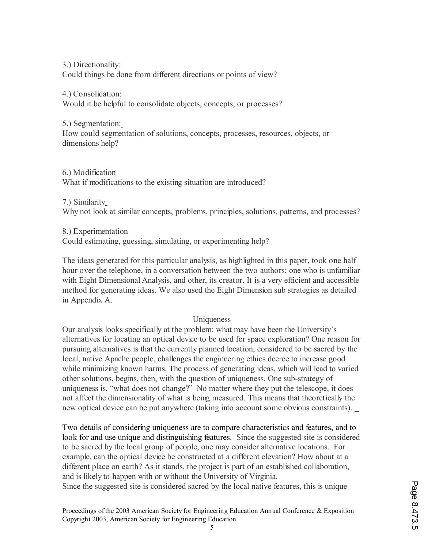3.) Directionality: Could things be done from different directions or points of view?

4.) Consolidation: Would it be helpful to consolidate objects, concepts, or processes?

5.) Segmentation: How could segmentation of solutions, concepts, processes, resources, objects, or dimensions help?

6.) Modification What if modifications to the existing situation are introduced?

7.) Similarity Why not look at similar concepts, problems, principles, solutions, patterns, and processes?

8.) Experimentation

Could estimating, guessing, simulating, or experimenting help?

The ideas generated for this particular analysis, as highlighted in this paper, took one half hour over the telephone, in a conversation between the two authors; one who is unfamiliar with Eight Dimensional Analysis, and other, its creator. It is a very efficient and accessible method for generating ideas. We also used the Eight Dimension sub strategies as detailed in Appendix A.

# Uniqueness

Our analysis looks specifically at the problem: what may have been the University's alternatives for locating an optical device to be used for space exploration? One reason for pursuing alternatives is that the currently planned location, considered to be sacred by the local, native Apache people, challenges the engineering ethics decree to increase good while minimizing known harms. The process of generating ideas, which will lead to varied other solutions, begins, then, with the question of uniqueness. One sub-strategy of uniqueness is, "what does not change?" No matter where they put the telescope, it does not affect the dimensionality of what is being measured. This means that theoretically the new optical device can be put anywhere (taking into account some obvious constraints).

Two details of considering uniqueness are to compare characteristics and features, and to look for and use unique and distinguishing features. Since the suggested site is considered to be sacred by the local group of people, one may consider alternative locations. For example, can the optical device be constructed at a different elevation? How about at a different place on earth? As it stands, the project is part of an established collaboration, and is likely to happen with or without the University of Virginia. Since the suggested site is considered sacred by the local native features, this is unique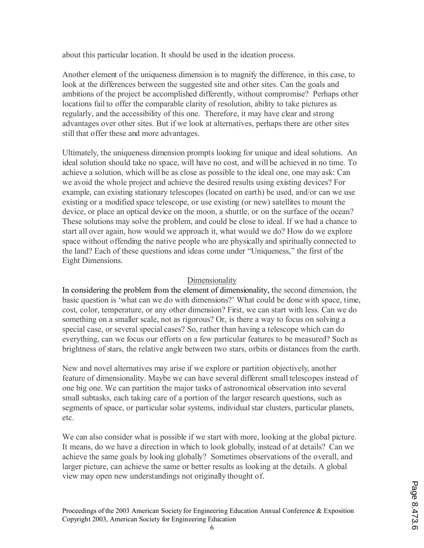about this particular location. It should be used in the ideation process.

Another element of the uniqueness dimension is to magnify the difference, in this case, to look at the differences between the suggested site and other sites. Can the goals and ambitions of the project be accomplished differently, without compromise? Perhaps other locations fail to offer the comparable clarity of resolution, ability to take pictures as regularly, and the accessibility of this one. Therefore, it may have clear and strong advantages over other sites. But if we look at alternatives, perhaps there are other sites still that offer these and more advantages.

Ultimately, the uniqueness dimension prompts looking for unique and ideal solutions. An ideal solution should take no space, will have no cost, and will be achieved in no time. To achieve a solution, which will be as close as possible to the ideal one, one may ask: Can we avoid the whole project and achieve the desired results using existing devices? For example, can existing stationary telescopes (located on earth) be used, and/or can we use existing or a modified space telescope, or use existing (or new) satellites to mount the device, or place an optical device on the moon, a shuttle, or on the surface of the ocean? These solutions may solve the problem, and could be close to ideal. If we had a chance to start all over again, how would we approach it, what would we do? How do we explore space without offending the native people who are physically and spiritually connected to the land? Each of these questions and ideas come under "Uniqueness," the first of the Eight Dimensions.

# Dimensionality

In considering the problem from the element of dimensionality, the second dimension, the basic question is 'what can we do with dimensions?' What could be done with space, time, cost, color, temperature, or any other dimension? First, we can start with less. Can we do something on a smaller scale, not as rigorous? Or, is there a way to focus on solving a special case, or several special cases? So, rather than having a telescope which can do everything, can we focus our efforts on a few particular features to be measured? Such as brightness of stars, the relative angle between two stars, orbits or distances from the earth.

New and novel alternatives may arise if we explore or partition objectively, another feature of dimensionality. Maybe we can have several different small telescopes instead of one big one. We can partition the major tasks of astronomical observation into several small subtasks, each taking care of a portion of the larger research questions, such as segments of space, or particular solar systems, individual star clusters, particular planets, etc.

We can also consider what is possible if we start with more, looking at the global picture. It means, do we have a direction in which to look globally, instead of at details? Can we achieve the same goals by looking globally? Sometimes observations of the overall, and larger picture, can achieve the same or better results as looking at the details. A global view may open new understandings not originally thought of.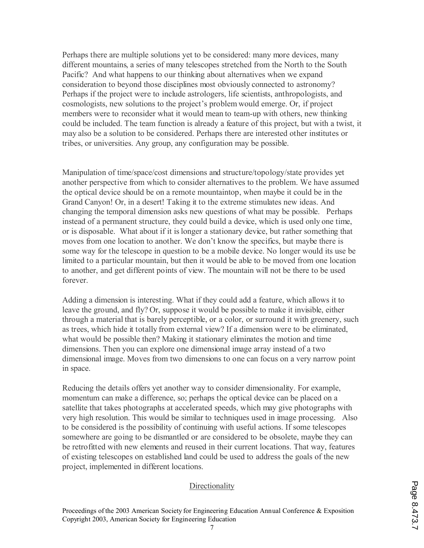Perhaps there are multiple solutions yet to be considered: many more devices, many different mountains, a series of many telescopes stretched from the North to the South Pacific? And what happens to our thinking about alternatives when we expand consideration to beyond those disciplines most obviously connected to astronomy? Perhaps if the project were to include astrologers, life scientists, anthropologists, and cosmologists, new solutions to the project's problem would emerge. Or, if project members were to reconsider what it would mean to team-up with others, new thinking could be included. The team function is already a feature of this project, but with a twist, it may also be a solution to be considered. Perhaps there are interested other institutes or tribes, or universities. Any group, any configuration may be possible.

Manipulation of time/space/cost dimensions and structure/topology/state provides yet another perspective from which to consider alternatives to the problem. We have assumed the optical device should be on a remote mountaintop, when maybe it could be in the Grand Canyon! Or, in a desert! Taking it to the extreme stimulates new ideas. And changing the temporal dimension asks new questions of what may be possible. Perhaps instead of a permanent structure, they could build a device, which is used only one time, or is disposable. What about if it is longer a stationary device, but rather something that moves from one location to another. We don't know the specifics, but maybe there is some way for the telescope in question to be a mobile device. No longer would its use be limited to a particular mountain, but then it would be able to be moved from one location to another, and get different points of view. The mountain will not be there to be used forever.

Adding a dimension is interesting. What if they could add a feature, which allows it to leave the ground, and fly? Or, suppose it would be possible to make it invisible, either through a material that is barely perceptible, or a color, or surround it with greenery, such as trees, which hide it totally from external view? If a dimension were to be eliminated, what would be possible then? Making it stationary eliminates the motion and time dimensions. Then you can explore one dimensional image array instead of a two dimensional image. Moves from two dimensions to one can focus on a very narrow point in space.

Reducing the details offers yet another way to consider dimensionality. For example, momentum can make a difference, so; perhaps the optical device can be placed on a satellite that takes photographs at accelerated speeds, which may give photographs with very high resolution. This would be similar to techniques used in image processing. Also to be considered is the possibility of continuing with useful actions. If some telescopes somewhere are going to be dismantled or are considered to be obsolete, maybe they can be retrofitted with new elements and reused in their current locations. That way, features of existing telescopes on established land could be used to address the goals of the new project, implemented in different locations.

## **Directionality**

Proceedings of the 2003 American Society for Engineering Education Annual Conference & Exposition Copyright 2003, American Society for Engineering Education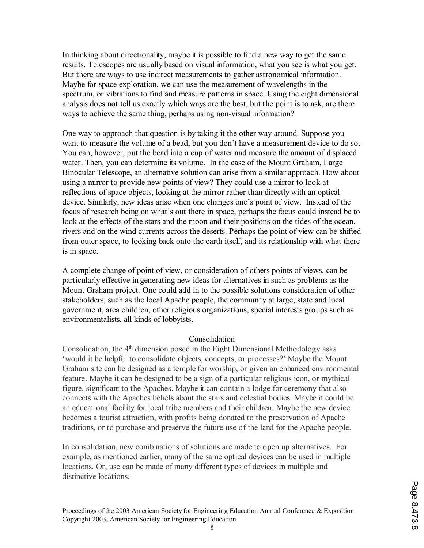In thinking about directionality, maybe it is possible to find a new way to get the same results. Telescopes are usually based on visual information, what you see is what you get. But there are ways to use indirect measurements to gather astronomical information. Maybe for space exploration, we can use the measurement of wavelengths in the spectrum, or vibrations to find and measure patterns in space. Using the eight dimensional analysis does not tell us exactly which ways are the best, but the point is to ask, are there ways to achieve the same thing, perhaps using non-visual information?

One way to approach that question is by taking it the other way around. Suppose you want to measure the volume of a bead, but you don't have a measurement device to do so. You can, however, put the bead into a cup of water and measure the amount of displaced water. Then, you can determine its volume. In the case of the Mount Graham, Large Binocular Telescope, an alternative solution can arise from a similar approach. How about using a mirror to provide new points of view? They could use a mirror to look at reflections of space objects, looking at the mirror rather than directly with an optical device. Similarly, new ideas arise when one changes one's point of view. Instead of the focus of research being on what's out there in space, perhaps the focus could instead be to look at the effects of the stars and the moon and their positions on the tides of the ocean, rivers and on the wind currents across the deserts. Perhaps the point of view can be shifted from outer space, to looking back onto the earth itself, and its relationship with what there is in space.

A complete change of point of view, or consideration of others points of views, can be particularly effective in generating new ideas for alternatives in such as problems as the Mount Graham project. One could add in to the possible solutions consideration of other stakeholders, such as the local Apache people, the community at large, state and local government, area children, other religious organizations, special interests groups such as environmentalists, all kinds of lobbyists.

## Consolidation

Consolidation, the  $4<sup>th</sup>$  dimension posed in the Eight Dimensional Methodology asks **'**would it be helpful to consolidate objects, concepts, or processes?' Maybe the Mount Graham site can be designed as a temple for worship, or given an enhanced environmental feature. Maybe it can be designed to be a sign of a particular religious icon, or mythical figure, significant to the Apaches. Maybe it can contain a lodge for ceremony that also connects with the Apaches beliefs about the stars and celestial bodies. Maybe it could be an educational facility for local tribe members and their children. Maybe the new device becomes a tourist attraction, with profits being donated to the preservation of Apache traditions, or to purchase and preserve the future use of the land for the Apache people.

In consolidation, new combinations of solutions are made to open up alternatives. For example, as mentioned earlier, many of the same optical devices can be used in multiple locations. Or, use can be made of many different types of devices in multiple and distinctive locations.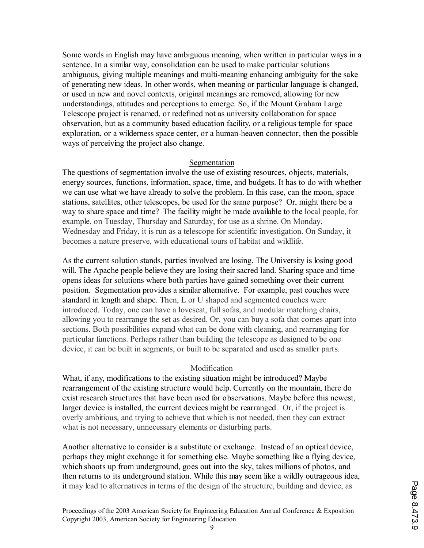Some words in English may have ambiguous meaning, when written in particular ways in a sentence. In a similar way, consolidation can be used to make particular solutions ambiguous, giving multiple meanings and multi-meaning enhancing ambiguity for the sake of generating new ideas. In other words, when meaning or particular language is changed, or used in new and novel contexts, original meanings are removed, allowing for new understandings, attitudes and perceptions to emerge. So, if the Mount Graham Large Telescope project is renamed, or redefined not as university collaboration for space observation, but as a community based education facility, or a religious temple for space exploration, or a wilderness space center, or a human-heaven connector, then the possible ways of perceiving the project also change.

### Segmentation

The questions of segmentation involve the use of existing resources, objects, materials, energy sources, functions, information, space, time, and budgets. It has to do with whether we can use what we have already to solve the problem. In this case, can the moon, space stations, satellites, other telescopes, be used for the same purpose? Or, might there be a way to share space and time? The facility might be made available to the local people, for example, on Tuesday, Thursday and Saturday, for use as a shrine. On Monday, Wednesday and Friday, it is run as a telescope for scientific investigation. On Sunday, it becomes a nature preserve, with educational tours of habitat and wildlife.

As the current solution stands, parties involved are losing. The University is losing good will. The Apache people believe they are losing their sacred land. Sharing space and time opens ideas for solutions where both parties have gained something over their current position. Segmentation provides a similar alternative. For example, past couches were standard in length and shape. Then, L or U shaped and segmented couches were introduced. Today, one can have a loveseat, full sofas, and modular matching chairs, allowing you to rearrange the set as desired. Or, you can buy a sofa that comes apart into sections. Both possibilities expand what can be done with cleaning, and rearranging for particular functions. Perhaps rather than building the telescope as designed to be one device, it can be built in segments, or built to be separated and used as smaller parts.

## Modification

What, if any, modifications to the existing situation might be introduced? Maybe rearrangement of the existing structure would help. Currently on the mountain, there do exist research structures that have been used for observations. Maybe before this newest, larger device is installed, the current devices might be rearranged. Or, if the project is overly ambitious, and trying to achieve that which is not needed, then they can extract what is not necessary, unnecessary elements or disturbing parts.

Another alternative to consider is a substitute or exchange. Instead of an optical device, perhaps they might exchange it for something else. Maybe something like a flying device, which shoots up from underground, goes out into the sky, takes millions of photos, and then returns to its underground station. While this may seem like a wildly outrageous idea, it may lead to alternatives in terms of the design of the structure, building and device, as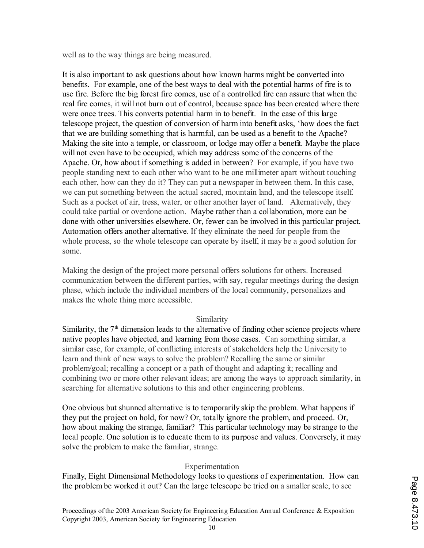well as to the way things are being measured.

It is also important to ask questions about how known harms might be converted into benefits. For example, one of the best ways to deal with the potential harms of fire is to use fire. Before the big forest fire comes, use of a controlled fire can assure that when the real fire comes, it will not burn out of control, because space has been created where there were once trees. This converts potential harm in to benefit. In the case of this large telescope project, the question of conversion of harm into benefit asks, 'how does the fact that we are building something that is harmful, can be used as a benefit to the Apache? Making the site into a temple, or classroom, or lodge may offer a benefit. Maybe the place will not even have to be occupied, which may address some of the concerns of the Apache. Or, how about if something is added in between? For example, if you have two people standing next to each other who want to be one millimeter apart without touching each other, how can they do it? They can put a newspaper in between them. In this case, we can put something between the actual sacred, mountain land, and the telescope itself. Such as a pocket of air, tress, water, or other another layer of land. Alternatively, they could take partial or overdone action. Maybe rather than a collaboration, more can be done with other universities elsewhere. Or, fewer can be involved in this particular project. Automation offers another alternative. If they eliminate the need for people from the whole process, so the whole telescope can operate by itself, it may be a good solution for some.

Making the design of the project more personal offers solutions for others. Increased communication between the different parties, with say, regular meetings during the design phase, which include the individual members of the local community, personalizes and makes the whole thing more accessible.

# Similarity

Similarity, the  $7<sup>th</sup>$  dimension leads to the alternative of finding other science projects where native peoples have objected, and learning from those cases. Can something similar, a similar case, for example, of conflicting interests of stakeholders help the University to learn and think of new ways to solve the problem? Recalling the same or similar problem/goal; recalling a concept or a path of thought and adapting it; recalling and combining two or more other relevant ideas; are among the ways to approach similarity, in searching for alternative solutions to this and other engineering problems.

One obvious but shunned alternative is to temporarily skip the problem. What happens if they put the project on hold, for now? Or, totally ignore the problem, and proceed. Or, how about making the strange, familiar? This particular technology may be strange to the local people. One solution is to educate them to its purpose and values. Conversely, it may solve the problem to make the familiar, strange.

# Experimentation

Finally, Eight Dimensional Methodology looks to questions of experimentation. How can the problem be worked it out? Can the large telescope be tried on a smaller scale, to see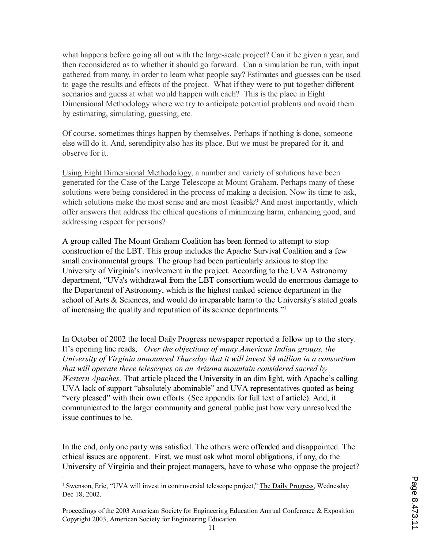what happens before going all out with the large-scale project? Can it be given a year, and then reconsidered as to whether it should go forward. Can a simulation be run, with input gathered from many, in order to learn what people say? Estimates and guesses can be used to gage the results and effects of the project. What if they were to put together different scenarios and guess at what would happen with each? This is the place in Eight Dimensional Methodology where we try to anticipate potential problems and avoid them by estimating, simulating, guessing, etc.

Of course, sometimes things happen by themselves. Perhaps if nothing is done, someone else will do it. And, serendipity also has its place. But we must be prepared for it, and observe for it.

Using Eight Dimensional Methodology, a number and variety of solutions have been generated for the Case of the Large Telescope at Mount Graham. Perhaps many of these solutions were being considered in the process of making a decision. Now its time to ask, which solutions make the most sense and are most feasible? And most importantly, which offer answers that address the ethical questions of minimizing harm, enhancing good, and addressing respect for persons?

A group called The Mount Graham Coalition has been formed to attempt to stop construction of the LBT. This group includes the Apache Survival Coalition and a few small environmental groups. The group had been particularly anxious to stop the University of Virginia's involvement in the project. According to the UVA Astronomy department, "UVa's withdrawal from the LBT consortium would do enormous damage to the Department of Astronomy, which is the highest ranked science department in the school of Arts & Sciences, and would do irreparable harm to the University's stated goals of increasing the quality and reputation of its science departments." 1

In October of 2002 the local Daily Progress newspaper reported a follow up to the story. It's opening line reads, *Over the objections of many American Indian groups, the University of Virginia announced Thursday that it will invest \$4 million in a consortium that will operate three telescopes on an Arizona mountain considered sacred by Western Apaches.* That article placed the University in an dim light, with Apache's calling UVA lack of support "absolutely abominable" and UVA representatives quoted as being "very pleased" with their own efforts. (See appendix for full text of article). And, it communicated to the larger community and general public just how very unresolved the issue continues to be.

In the end, only one party was satisfied. The others were offended and disappointed. The ethical issues are apparent. First, we must ask what moral obligations, if any, do the University of Virginia and their project managers, have to whose who oppose the project?

<sup>&</sup>lt;sup>1</sup> Swenson, Eric, "UVA will invest in controversial telescope project," The Daily Progress, Wednesday Dec 18, 2002.

Proceedings of the 2003 American Society for Engineering Education Annual Conference & Exposition Copyright 2003, American Society for Engineering Education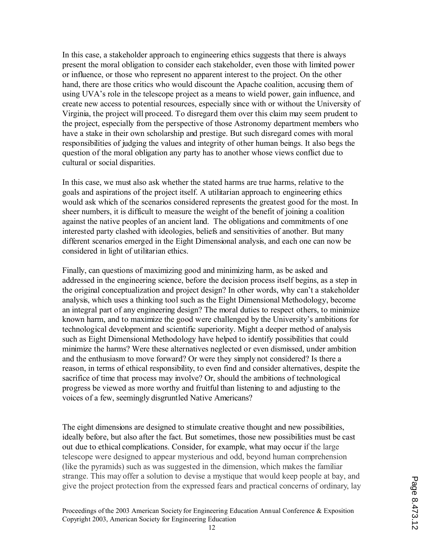In this case, a stakeholder approach to engineering ethics suggests that there is always present the moral obligation to consider each stakeholder, even those with limited power or influence, or those who represent no apparent interest to the project. On the other hand, there are those critics who would discount the Apache coalition, accusing them of using UVA's role in the telescope project as a means to wield power, gain influence, and create new access to potential resources, especially since with or without the University of Virginia, the project will proceed. To disregard them over this claim may seem prudent to the project, especially from the perspective of those Astronomy department members who have a stake in their own scholarship and prestige. But such disregard comes with moral responsibilities of judging the values and integrity of other human beings. It also begs the question of the moral obligation any party has to another whose views conflict due to cultural or social disparities.

In this case, we must also ask whether the stated harms are true harms, relative to the goals and aspirations of the project itself. A utilitarian approach to engineering ethics would ask which of the scenarios considered represents the greatest good for the most. In sheer numbers, it is difficult to measure the weight of the benefit of joining a coalition against the native peoples of an ancient land. The obligations and commitments of one interested party clashed with ideologies, beliefs and sensitivities of another. But many different scenarios emerged in the Eight Dimensional analysis, and each one can now be considered in light of utilitarian ethics.

Finally, can questions of maximizing good and minimizing harm, as be asked and addressed in the engineering science, before the decision process itself begins, as a step in the original conceptualization and project design? In other words, why can't a stakeholder analysis, which uses a thinking tool such as the Eight Dimensional Methodology, become an integral part of any engineering design? The moral duties to respect others, to minimize known harm, and to maximize the good were challenged by the University's ambitions for technological development and scientific superiority. Might a deeper method of analysis such as Eight Dimensional Methodology have helped to identify possibilities that could minimize the harms? Were these alternatives neglected or even dismissed, under ambition and the enthusiasm to move forward? Or were they simply not considered? Is there a reason, in terms of ethical responsibility, to even find and consider alternatives, despite the sacrifice of time that process may involve? Or, should the ambitions of technological progress be viewed as more worthy and fruitful than listening to and adjusting to the voices of a few, seemingly disgruntled Native Americans?

The eight dimensions are designed to stimulate creative thought and new possibilities, ideally before, but also after the fact. But sometimes, those new possibilities must be cast out due to ethical complications. Consider, for example, what may occur if the large telescope were designed to appear mysterious and odd, beyond human comprehension (like the pyramids) such as was suggested in the dimension, which makes the familiar strange. This may offer a solution to devise a mystique that would keep people at bay, and give the project protection from the expressed fears and practical concerns of ordinary, lay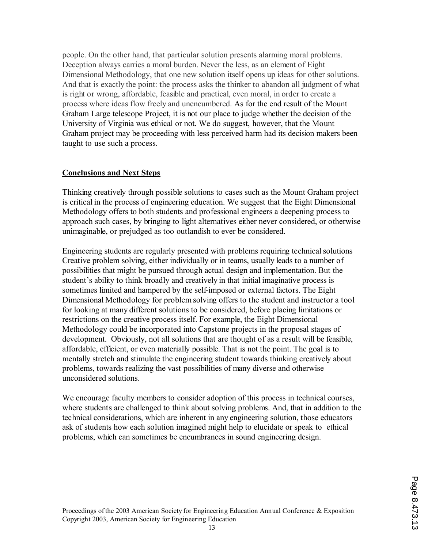people. On the other hand, that particular solution presents alarming moral problems. Deception always carries a moral burden. Never the less, as an element of Eight Dimensional Methodology, that one new solution itself opens up ideas for other solutions. And that is exactly the point: the process asks the thinker to abandon all judgment of what is right or wrong, affordable, feasible and practical, even moral, in order to create a process where ideas flow freely and unencumbered. As for the end result of the Mount Graham Large telescope Project, it is not our place to judge whether the decision of the University of Virginia was ethical or not. We do suggest, however, that the Mount Graham project may be proceeding with less perceived harm had its decision makers been taught to use such a process.

## **Conclusions and Next Steps**

Thinking creatively through possible solutions to cases such as the Mount Graham project is critical in the process of engineering education. We suggest that the Eight Dimensional Methodology offers to both students and professional engineers a deepening process to approach such cases, by bringing to light alternatives either never considered, or otherwise unimaginable, or prejudged as too outlandish to ever be considered.

Engineering students are regularly presented with problems requiring technical solutions Creative problem solving, either individually or in teams, usually leads to a number of possibilities that might be pursued through actual design and implementation. But the student's ability to think broadly and creatively in that initial imaginative process is sometimes limited and hampered by the self-imposed or external factors. The Eight Dimensional Methodology for problem solving offers to the student and instructor a tool for looking at many different solutions to be considered, before placing limitations or restrictions on the creative process itself. For example, the Eight Dimensional Methodology could be incorporated into Capstone projects in the proposal stages of development. Obviously, not all solutions that are thought of as a result will be feasible, affordable, efficient, or even materially possible. That is not the point. The goal is to mentally stretch and stimulate the engineering student towards thinking creatively about problems, towards realizing the vast possibilities of many diverse and otherwise unconsidered solutions.

We encourage faculty members to consider adoption of this process in technical courses, where students are challenged to think about solving problems. And, that in addition to the technical considerations, which are inherent in any engineering solution, those educators ask of students how each solution imagined might help to elucidate or speak to ethical problems, which can sometimes be encumbrances in sound engineering design.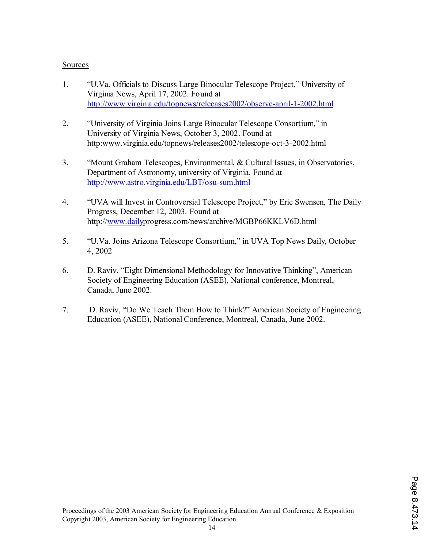## Sources

- 1. "U.Va. Officials to Discuss Large Binocular Telescope Project," University of Virginia News, April 17, 2002. Found at http://www.virginia.edu/topnews/releeases2002/observe-april-1-2002.html
- 2. "University of Virginia Joins Large Binocular Telescope Consortium," in University of Virginia News, October 3, 2002. Found at http:www.virginia.edu/topnews/releases2002/telescope-oct-3-2002.html
- 3. "Mount Graham Telescopes, Environmental, & Cultural Issues, in Observatories, Department of Astronomy, university of Virginia. Found at http://www.astro.virginia.edu/LBT/osu-sum.html
- 4. "UVA will Invest in Controversial Telescope Project," by Eric Swensen, The Daily Progress, December 12, 2003. Found at http://www.dailyprogress.com/news/archive/MGBP66KKLV6D.html
- 5. "U.Va. Joins Arizona Telescope Consortium," in UVA Top News Daily, October 4, 2002
- 6. D. Raviv, "Eight Dimensional Methodology for Innovative Thinking", American Society of Engineering Education (ASEE), National conference, Montreal, Canada, June 2002.
- 7. D. Raviv, "Do We Teach Them How to Think?" American Society of Engineering Education (ASEE), National Conference, Montreal, Canada, June 2002.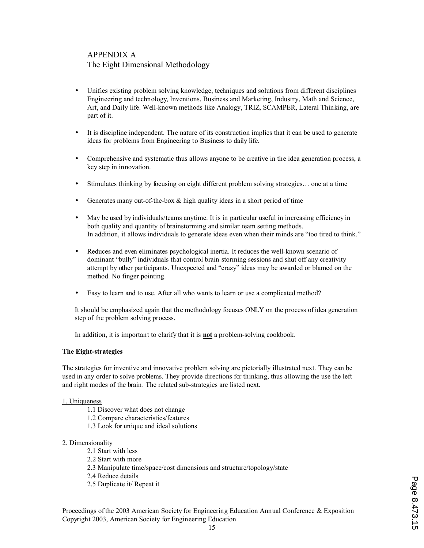# APPENDIX A The Eight Dimensional Methodology

- Unifies existing problem solving knowledge, techniques and solutions from different disciplines Engineering and technology, Inventions, Business and Marketing, Industry, Math and Science, Art, and Daily life. Well-known methods like Analogy, TRIZ, SCAMPER, Lateral Thinking, are part of it.
- It is discipline independent. The nature of its construction implies that it can be used to generate ideas for problems from Engineering to Business to daily life.
- Comprehensive and systematic thus allows anyone to be creative in the idea generation process, a key step in innovation.
- Stimulates thinking by focusing on eight different problem solving strategies... one at a time
- Generates many out-of-the-box  $\&$  high quality ideas in a short period of time
- May be used by individuals/teams anytime. It is in particular useful in increasing efficiency in both quality and quantity of brainstorming and similar team setting methods. In addition, it allows individuals to generate ideas even when their minds are "too tired to think."
- Reduces and even eliminates psychological inertia. It reduces the well-known scenario of dominant "bully" individuals that control brain storming sessions and shut off any creativity attempt by other participants. Unexpected and "crazy" ideas may be awarded or blamed on the method. No finger pointing.
- Easy to learn and to use. After all who wants to learn or use a complicated method?

It should be emphasized again that the methodology focuses ONLY on the process of idea generation step of the problem solving process.

In addition, it is important to clarify that it is **not** a problem-solving cookbook.

#### **The Eight-strategies**

The strategies for inventive and innovative problem solving are pictorially illustrated next. They can be used in any order to solve problems. They provide directions for thinking, thus allowing the use the left and right modes of the brain. The related sub-strategies are listed next.

#### 1. Uniqueness

- 1.1 Discover what does not change
	- 1.2 Compare characteristics/features
	- 1.3 Look for unique and ideal solutions

#### 2. Dimensionality

- 2.1 Start with less
- 2.2 Start with more
- 2.3 Manipulate time/space/cost dimensions and structure/topology/state
- 2.4 Reduce details
- 2.5 Duplicate it/ Repeat it

Proceedings of the 2003 American Society for Engineering Education Annual Conference & Exposition Copyright 2003, American Society for Engineering Education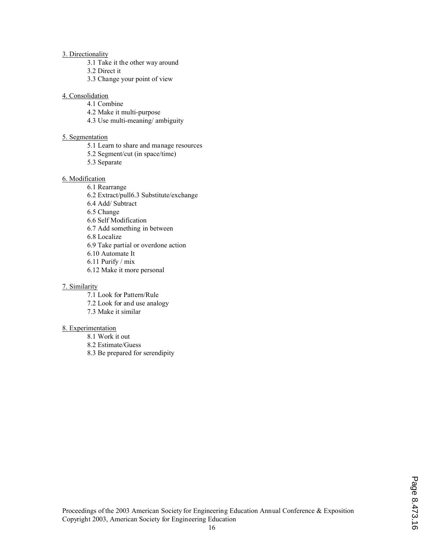#### 3. Directionality

- 3.1 Take it the other way around
- 3.2 Direct it
- 3.3 Change your point of view

#### 4. Consolidation

- 4.1 Combine
- 4.2 Make it multi-purpose
- 4.3 Use multi-meaning/ ambiguity

### 5. Segmentation

- 5.1 Learn to share and manage resources
- 5.2 Segment/cut (in space/time)
- 5.3 Separate

### 6. Modification

6.1 Rearrange 6.2 Extract/pull6.3 Substitute/exchange 6.4 Add/ Subtract 6.5 Change 6.6 Self Modification 6.7 Add something in between 6.8 Localize 6.9 Take partial or overdone action 6.10 Automate It 6.11 Purify / mix 6.12 Make it more personal

#### 7. Similarity

7.1 Look for Pattern/Rule

- 7.2 Look for and use analogy
- 7.3 Make it similar

#### 8. Experimentation

- 8.1 Work it out
- 8.2 Estimate/Guess
- 8.3 Be prepared for serendipity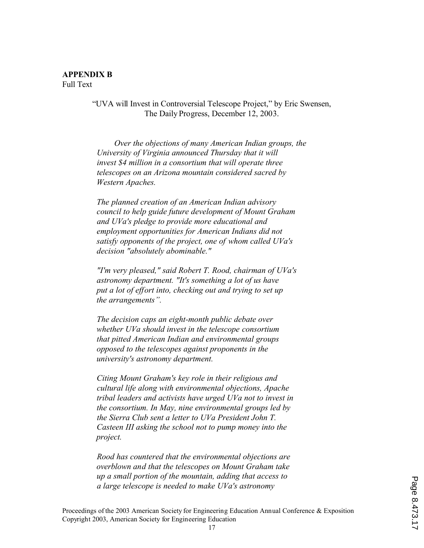"UVA will Invest in Controversial Telescope Project," by Eric Swensen, The Daily Progress, December 12, 2003.

*Over the objections of many American Indian groups, the University of Virginia announced Thursday that it will invest \$4 million in a consortium that will operate three telescopes on an Arizona mountain considered sacred by Western Apaches.* 

 *The planned creation of an American Indian advisory council to help guide future development of Mount Graham and UVa's pledge to provide more educational and employment opportunities for American Indians did not satisfy opponents of the project, one of whom called UVa's decision "absolutely abominable."* 

 *"I'm very pleased," said Robert T. Rood, chairman of UVa's astronomy department. "It's something a lot of us have put a lot of effort into, checking out and trying to set up the arrangements".* 

 *The decision caps an eight-month public debate over whether UVa should invest in the telescope consortium that pitted American Indian and environmental groups opposed to the telescopes against proponents in the university's astronomy department.* 

 *Citing Mount Graham's key role in their religious and cultural life along with environmental objections, Apache tribal leaders and activists have urged UVa not to invest in the consortium. In May, nine environmental groups led by the Sierra Club sent a letter to UVa President John T. Casteen III asking the school not to pump money into the project.* 

 *Rood has countered that the environmental objections are overblown and that the telescopes on Mount Graham take up a small portion of the mountain, adding that access to a large telescope is needed to make UVa's astronomy*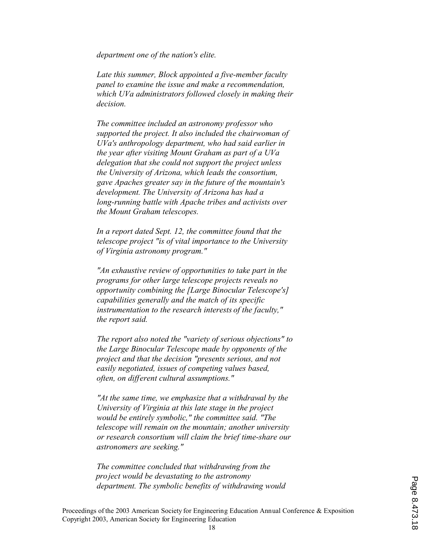*department one of the nation's elite.* 

 *Late this summer, Block appointed a five-member faculty panel to examine the issue and make a recommendation, which UVa administrators followed closely in making their decision.* 

 *The committee included an astronomy professor who supported the project. It also included the chairwoman of UVa's anthropology department, who had said earlier in the year after visiting Mount Graham as part of a UVa delegation that she could not support the project unless the University of Arizona, which leads the consortium, gave Apaches greater say in the future of the mountain's development. The University of Arizona has had a long-running battle with Apache tribes and activists over the Mount Graham telescopes.* 

 *In a report dated Sept. 12, the committee found that the telescope project "is of vital importance to the University of Virginia astronomy program."* 

 *"An exhaustive review of opportunities to take part in the programs for other large telescope projects reveals no opportunity combining the [Large Binocular Telescope's] capabilities generally and the match of its specific instrumentation to the research interests of the faculty," the report said.* 

 *The report also noted the "variety of serious objections" to the Large Binocular Telescope made by opponents of the project and that the decision "presents serious, and not easily negotiated, issues of competing values based, often, on different cultural assumptions."* 

 *"At the same time, we emphasize that a withdrawal by the University of Virginia at this late stage in the project would be entirely symbolic," the committee said. "The telescope will remain on the mountain; another university or research consortium will claim the brief time-share our astronomers are seeking."* 

 *The committee concluded that withdrawing from the project would be devastating to the astronomy department. The symbolic benefits of withdrawing would*